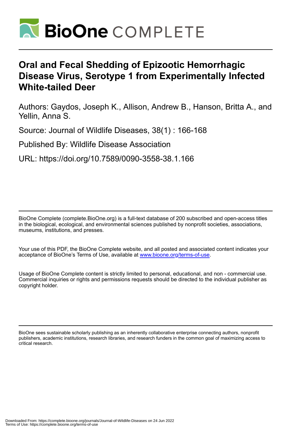

## **Oral and Fecal Shedding of Epizootic Hemorrhagic Disease Virus, Serotype 1 from Experimentally Infected White-tailed Deer**

Authors: Gaydos, Joseph K., Allison, Andrew B., Hanson, Britta A., and Yellin, Anna S.

Source: Journal of Wildlife Diseases, 38(1) : 166-168

Published By: Wildlife Disease Association

URL: https://doi.org/10.7589/0090-3558-38.1.166

BioOne Complete (complete.BioOne.org) is a full-text database of 200 subscribed and open-access titles in the biological, ecological, and environmental sciences published by nonprofit societies, associations, museums, institutions, and presses.

Your use of this PDF, the BioOne Complete website, and all posted and associated content indicates your acceptance of BioOne's Terms of Use, available at www.bioone.org/terms-of-use.

Usage of BioOne Complete content is strictly limited to personal, educational, and non - commercial use. Commercial inquiries or rights and permissions requests should be directed to the individual publisher as copyright holder.

BioOne sees sustainable scholarly publishing as an inherently collaborative enterprise connecting authors, nonprofit publishers, academic institutions, research libraries, and research funders in the common goal of maximizing access to critical research.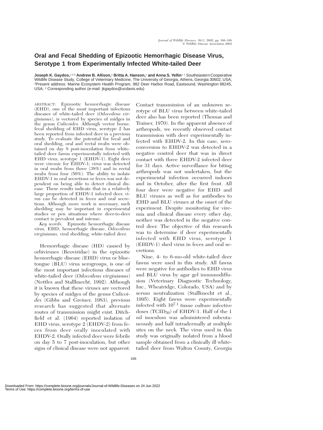## **Oral and Fecal Shedding of Epizootic Hemorrhagic Disease Virus, Serotype 1 from Experimentally Infected White-tailed Deer**

**Joseph K. Gaydos,**1,2,3 **Andrew B. Allison,**<sup>1</sup> **Britta A. Hanson,**<sup>1</sup> **and Anna S. Yellin**1 1 Southeastern Cooperative Wildlife Disease Study, College of Veterinary Medicine, The University of Georgia, Athens, Georgia 30602, USA; 2Present address: Marine Ecosystem Health Program, 982 Deer Harbor Road, Eastsound, Washington 98245, USA; <sup>3</sup> Corresponding author (e-mail: jkgaydos@ucdavis.edu)

ABSTRACT: Epizootic hemorrhagic disease (EHD), one of the most important infectious diseases of white-tailed deer (*Odocoileus virginianus*), is vectored by species of midges in the genus *Culicoides.* Although vector borne, fecal shedding of EHD virus, serotype 2 has been reported from infected deer in a previous study. To evaluate the potential for fecal and oral shedding, oral and rectal swabs were obtained on day 8 post-inoculation from whitetailed deer fawns experimentally infected with EHD virus, serotype 1 (EHDV-1). Eight deer were viremic for EHDV-1; virus was detected in oral swabs from three (38%) and in rectal swabs from four (50%). The ability to isolate EHDV-1 in oral secretions or feces was not dependent on being able to detect clinical disease. These results indicate that in a relatively large proportion of EHDV-1 infected deer, virus can be detected in feces and oral secretions. Although more work is necessary, such shedding may be important in experimental studies or pen situations where deer-to-deer contact is prevalent and intense.

*Key words:* Epizootic hemorrhagic disease virus, EHD, hemorrhagic disease, *Odocoileus virginianus,* viral shedding, white-tailed deer.

Hemorrhagic disease (HD) caused by orbiviruses (Reoviridae) in the epizootic hemorrhagic disease (EHD) virus or bluetongue (BLU) virus serogroups, is one of the most important infectious diseases of white-tailed deer (*Odocoileus virginianus*) (Nettles and Stallknecht, 1992). Although it is known that these viruses are vectored by species of midges of the genus *Culicoides* (Gibbs and Greiner, 1983), previous research has suggested that alternate routes of transmission might exist. Ditchfield et al. (1964) reported isolation of EHD virus, serotype 2 (EHDV-2) from feces from deer orally inoculated with EHDV-2. Orally infected deer were febrile on day 5 to 7 post-inoculation, but other signs of clinical disease were not apparent.

Contact transmission of an unknown serotype of BLU virus between white-tailed deer also has been reported (Thomas and Trainer, 1970). In the apparent absence of arthropods, we recently observed contact transmission with deer experimentally infected with EHDV-2. In this case, seroconversion to EHDV-2 was detected in a negative control deer that was in direct contact with three EHDV-2 infected deer for 31 days. Active surveillance for biting arthropods was not undertaken, but the experimental infection occurred indoors and in October, after the first frost. All four deer were negative for EHD and BLU viruses as well as for antibodies to EHD and BLU viruses at the onset of the experiment. Despite monitoring for viremia and clinical disease every other day, neither was detected in the negative control deer. The objective of this research was to determine if deer experimentally infected with EHD virus, serotype 1 (EHDV-1) shed virus in feces and oral secretions.

Nine, 4- to 6-mo-old white-tailed deer fawns were used in this study. All fawns were negative for antibodies to EHD virus and BLU virus by agar gel immunodiffusion (Veterinary Diagnostic Technology, Inc., Wheatridge, Colorado, USA) and by serum neutralization (Stallknecht et al., 1995). Eight fawns were experimentally infected with 107.1 tissue culture infective doses (TCID<sub>50</sub>) of EHDV-1. Half of the 1 ml inoculum was administered subcutaneously and half intradermally at multiple sites on the neck. The virus used in this study was originally isolated from a blood sample obtained from a clinically ill whitetailed deer from Walton County, Georgia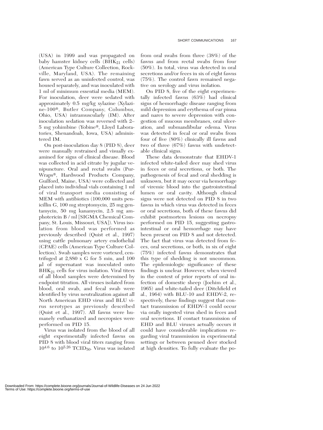(USA) in 1999 and was propagated on baby hamster kidney cells ( $BHK_{21}$  cells) (American Type Culture Collection, Rockville, Maryland, USA). The remaining fawn served as an uninfected control, was housed separately, and was inoculated with 1 ml of minimum essential media (MEM). For inoculation, deer were sedated with approximately 0.5 mg/kg xylazine (Xylazine-100<sup>®</sup>, Butler Company, Columbus, Ohio, USA) intramuscularly (IM). After inoculation sedation was reversed with 2– 5 mg yohimbine (Yobine®, Lloyd Laboratories, Shenandoah, Iowa, USA) administered IM.

On post-inoculation day 8 (PID 8), deer were manually restrained and visually examined for signs of clinical disease. Blood was collected in acid citrate by jugular venipuncture. Oral and rectal swabs (Pur-Wraps®, Hardwood Products Company, Guilford, Maine, USA) were collected and placed into individual vials containing 1 ml of viral transport media consisting of MEM with antibiotics (100,000 units penicillin G, 100 mg streptomycin, 25 mg gentamycin, 50 mg kanamycin, 2.5 mg amphotericin B / ml [SIGMA Chemical Company, St. Louis, Missouri, USA]). Virus isolation from blood was performed as previously described (Quist et al., 1997) using cattle pulmonary artery endothelial (CPAE) cells (American Type Culture Collection). Swab samples were vortexed, centrifuged at 2,880 x G for 5 min, and 100 l of supernatant was inoculated onto  $BHK_{21}$  cells for virus isolation. Viral titers of all blood samples were determined by endpoint titration. All viruses isolated from blood, oral swab, and fecal swab were identified by virus neutralization against all North American EHD virus and BLU virus serotypes as previously described (Quist et al., 1997). All fawns were humanely euthanatized and necropsies were performed on PID 15.

Virus was isolated from the blood of all eight experimentally infected fawns on PID 8 with blood viral titers ranging from  $10^{4.6}$  to  $10^{5.26}$  TCID<sub>50</sub>. Virus was isolated from oral swabs from three (38%) of the fawns and from rectal swabs from four (50%). In total, virus was detected in oral secretions and/or feces in six of eight fawns (75%). The control fawn remained negative on serology and virus isolation.

On PID 8, five of the eight experimentally infected fawns (63%) had clinical signs of hemorrhagic disease ranging from mild depression and erythema of ear pinna and nares to severe depression with congestion of mucous membranes, oral ulceration, and submandibular edema. Virus was detected in fecal or oral swabs from four of five (80%) clinically ill fawns and two of three (67%) fawns with undetectable clinical signs.

These data demonstrate that EHDV-1 infected white-tailed deer may shed virus in feces or oral secretions, or both. The pathogenesis of fecal and oral shedding is unknown, but it may occur via hemorrhage of viremic blood into the gastrointestinal lumen or oral cavity. Although clinical signs were not detected on PID 8 in two fawns in which virus was detected in feces or oral secretions, both of these fawns did exhibit postmortem lesions on necropsy performed on PID 15, suggesting gastrointestinal or oral hemorrhage may have been present on PID 8 and not detected. The fact that virus was detected from feces, oral secretions, or both, in six of eight (75%) infected fawns demonstrates that this type of shedding is not uncommon. The epidemiologic significance of these findings is unclear. However, when viewed in the context of prior reports of oral infection of domestic sheep (Jochim et al., 1965) and white-tailed deer (Ditchfield et al., 1964) with BLU-10 and EHDV-2, respectively, these findings suggest that contact transmission of EHDV-1 could occur via orally ingested virus shed in feces and oral secretions. If contact transmission of EHD and BLU viruses actually occurs it could have considerable implications regarding viral transmission in experimental settings or between penned deer stocked at high densities. To fully evaluate the po